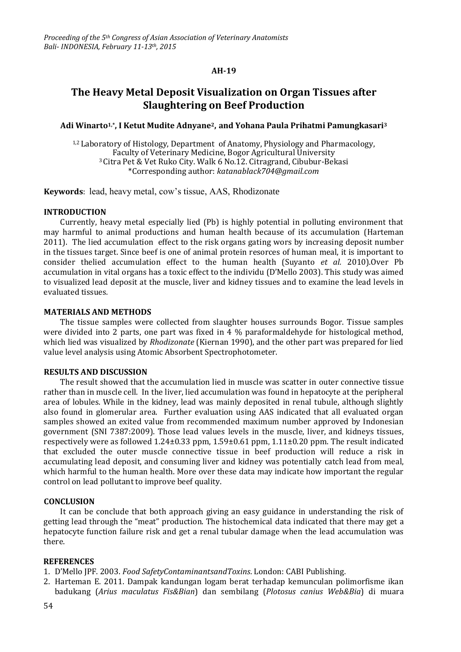## **AH-19**

# **The Heavy Metal Deposit Visualization on Organ Tissues after Slaughtering on Beef Production**

## **Adi Winarto1,\* , I Ketut Mudite Adnyane2, and Yohana Paula Prihatmi Pamungkasari<sup>3</sup>**

1,2 Laboratory of Histology, Department of Anatomy, Physiology and Pharmacology, Faculty of Veterinary Medicine, Bogor Agricultural University <sup>3</sup>Citra Pet & Vet Ruko City. Walk 6 No.12. Citragrand, Cibubur-Bekasi \*Corresponding author: *katanablack704@gmail.com*

**Keywords**: lead, heavy metal, cow's tissue, AAS, Rhodizonate

### **INTRODUCTION**

Currently, heavy metal especially lied (Pb) is highly potential in polluting environment that may harmful to animal productions and human health because of its accumulation (Harteman 2011). The lied accumulation effect to the risk organs gating wors by increasing deposit number in the tissues target. Since beef is one of animal protein resorces of human meal, it is important to consider thelied accumulation effect to the human health (Suyanto *et al.* 2010).Over Pb accumulation in vital organs has a toxic effect to the individu (D'Mello 2003). This study was aimed to visualized lead deposit at the muscle, liver and kidney tissues and to examine the lead levels in evaluated tissues*.*

### **MATERIALS AND METHODS**

The tissue samples were collected from slaughter houses surrounds Bogor. Tissue samples were divided into 2 parts, one part was fixed in 4 % paraformaldehyde for histological method, which lied was visualized by *Rhodizonate* (Kiernan 1990), and the other part was prepared for lied value level analysis using Atomic Absorbent Spectrophotometer.

## **RESULTS AND DISCUSSION**

The result showed that the accumulation lied in muscle was scatter in outer connective tissue rather than in muscle cell. In the liver, lied accumulation was found in hepatocyte at the peripheral area of lobules. While in the kidney, lead was mainly deposited in renal tubule, although slightly also found in glomerular area. Further evaluation using AAS indicated that all evaluated organ samples showed an exited value from recommended maximum number approved by Indonesian government (SNI 7387:2009). Those lead values levels in the muscle, liver, and kidneys tissues, respectively were as followed 1.24±0.33 ppm, 1.59±0.61 ppm, 1.11±0.20 ppm. The result indicated that excluded the outer muscle connective tissue in beef production will reduce a risk in accumulating lead deposit, and consuming liver and kidney was potentially catch lead from meal, which harmful to the human health. More over these data may indicate how important the regular control on lead pollutant to improve beef quality.

#### **CONCLUSION**

It can be conclude that both approach giving an easy guidance in understanding the risk of getting lead through the "meat" production. The histochemical data indicated that there may get a hepatocyte function failure risk and get a renal tubular damage when the lead accumulation was there.

### **REFERENCES**

- 1. D'Mello JPF. 2003. *Food SafetyContaminantsandToxins*. London: CABI Publishing.
- 2. Harteman E. 2011. Dampak kandungan logam berat terhadap kemunculan polimorfisme ikan badukang (*Arius maculatus Fis&Bian*) dan sembilang (*Plotosus canius Web&Bia*) di muara